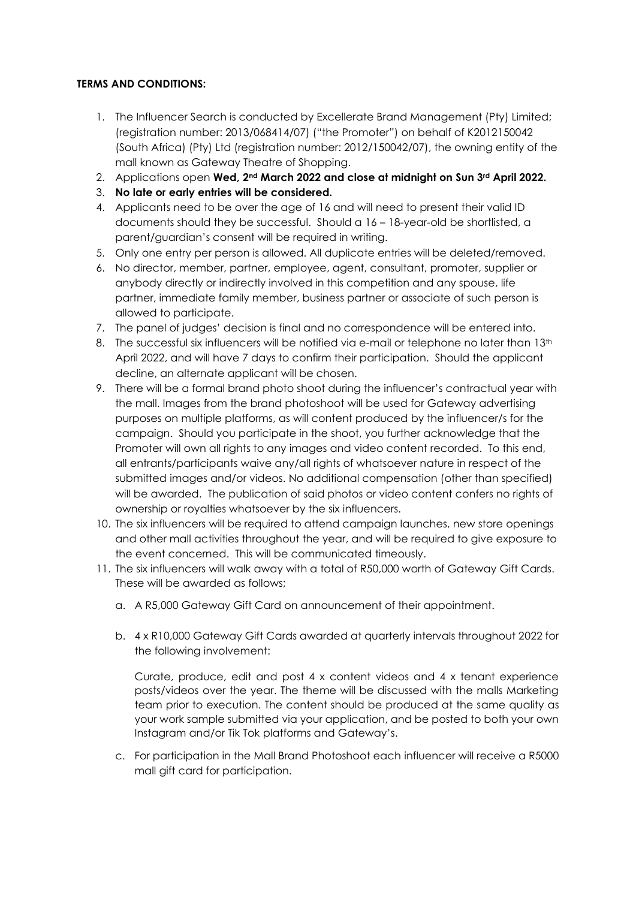## **TERMS AND CONDITIONS:**

- 1. The Influencer Search is conducted by Excellerate Brand Management (Pty) Limited; (registration number: 2013/068414/07) ("the Promoter") on behalf of K2012150042 (South Africa) (Pty) Ltd (registration number: 2012/150042/07), the owning entity of the mall known as Gateway Theatre of Shopping.
- 2. Applications open **Wed, 2nd March 2022 and close at midnight on Sun 3rd April 2022.**
- 3. **No late or early entries will be considered.**
- 4. Applicants need to be over the age of 16 and will need to present their valid ID documents should they be successful. Should a 16 – 18-year-old be shortlisted, a parent/guardian's consent will be required in writing.
- 5. Only one entry per person is allowed. All duplicate entries will be deleted/removed.
- 6. No director, member, partner, employee, agent, consultant, promoter, supplier or anybody directly or indirectly involved in this competition and any spouse, life partner, immediate family member, business partner or associate of such person is allowed to participate.
- 7. The panel of judges' decision is final and no correspondence will be entered into.
- 8. The successful six influencers will be notified via e-mail or telephone no later than 13<sup>th</sup> April 2022, and will have 7 days to confirm their participation. Should the applicant decline, an alternate applicant will be chosen.
- 9. There will be a formal brand photo shoot during the influencer's contractual year with the mall. Images from the brand photoshoot will be used for Gateway advertising purposes on multiple platforms, as will content produced by the influencer/s for the campaign. Should you participate in the shoot, you further acknowledge that the Promoter will own all rights to any images and video content recorded. To this end, all entrants/participants waive any/all rights of whatsoever nature in respect of the submitted images and/or videos. No additional compensation (other than specified) will be awarded. The publication of said photos or video content confers no rights of ownership or royalties whatsoever by the six influencers.
- 10. The six influencers will be required to attend campaign launches, new store openings and other mall activities throughout the year, and will be required to give exposure to the event concerned. This will be communicated timeously.
- 11. The six influencers will walk away with a total of R50,000 worth of Gateway Gift Cards. These will be awarded as follows;
	- a. A R5,000 Gateway Gift Card on announcement of their appointment.
	- b. 4 x R10,000 Gateway Gift Cards awarded at quarterly intervals throughout 2022 for the following involvement:

Curate, produce, edit and post 4 x content videos and 4 x tenant experience posts/videos over the year. The theme will be discussed with the malls Marketing team prior to execution. The content should be produced at the same quality as your work sample submitted via your application, and be posted to both your own Instagram and/or Tik Tok platforms and Gateway's.

c. For participation in the Mall Brand Photoshoot each influencer will receive a R5000 mall gift card for participation.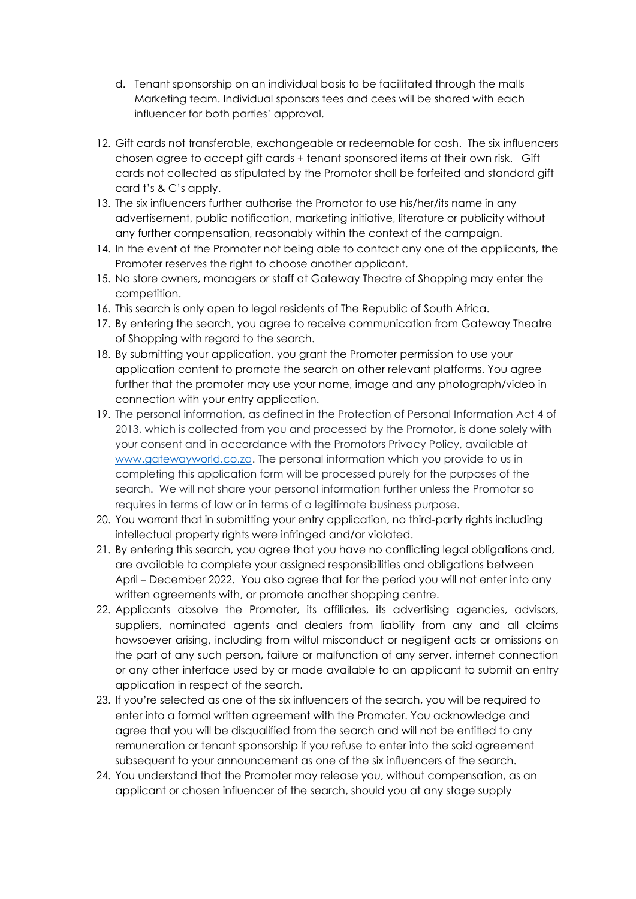- d. Tenant sponsorship on an individual basis to be facilitated through the malls Marketing team. Individual sponsors tees and cees will be shared with each influencer for both parties' approval.
- 12. Gift cards not transferable, exchangeable or redeemable for cash. The six influencers chosen agree to accept gift cards + tenant sponsored items at their own risk. Gift cards not collected as stipulated by the Promotor shall be forfeited and standard gift card t's & C's apply.
- 13. The six influencers further authorise the Promotor to use his/her/its name in any advertisement, public notification, marketing initiative, literature or publicity without any further compensation, reasonably within the context of the campaign.
- 14. In the event of the Promoter not being able to contact any one of the applicants, the Promoter reserves the right to choose another applicant.
- 15. No store owners, managers or staff at Gateway Theatre of Shopping may enter the competition.
- 16. This search is only open to legal residents of The Republic of South Africa.
- 17. By entering the search, you agree to receive communication from Gateway Theatre of Shopping with regard to the search.
- 18. By submitting your application, you grant the Promoter permission to use your application content to promote the search on other relevant platforms. You agree further that the promoter may use your name, image and any photograph/video in connection with your entry application.
- 19. The personal information, as defined in the Protection of Personal Information Act 4 of 2013, which is collected from you and processed by the Promotor, is done solely with your consent and in accordance with the Promotors Privacy Policy, available at [www.gatewayworld.co.za.](http://www.gatewayworld.co.za/) The personal information which you provide to us in completing this application form will be processed purely for the purposes of the search. We will not share your personal information further unless the Promotor so requires in terms of law or in terms of a legitimate business purpose.
- 20. You warrant that in submitting your entry application, no third-party rights including intellectual property rights were infringed and/or violated.
- 21. By entering this search, you agree that you have no conflicting legal obligations and, are available to complete your assigned responsibilities and obligations between April – December 2022. You also agree that for the period you will not enter into any written agreements with, or promote another shopping centre.
- 22. Applicants absolve the Promoter, its affiliates, its advertising agencies, advisors, suppliers, nominated agents and dealers from liability from any and all claims howsoever arising, including from wilful misconduct or negligent acts or omissions on the part of any such person, failure or malfunction of any server, internet connection or any other interface used by or made available to an applicant to submit an entry application in respect of the search.
- 23. If you're selected as one of the six influencers of the search, you will be required to enter into a formal written agreement with the Promoter. You acknowledge and agree that you will be disqualified from the search and will not be entitled to any remuneration or tenant sponsorship if you refuse to enter into the said agreement subsequent to your announcement as one of the six influencers of the search.
- 24. You understand that the Promoter may release you, without compensation, as an applicant or chosen influencer of the search, should you at any stage supply